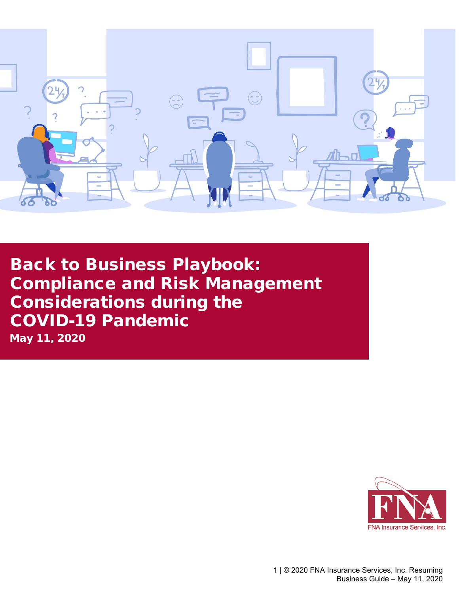

 Back to Business Playbook: Compliance and Risk Management Considerations during the COVID-19 Pandemic

May 11, 2020

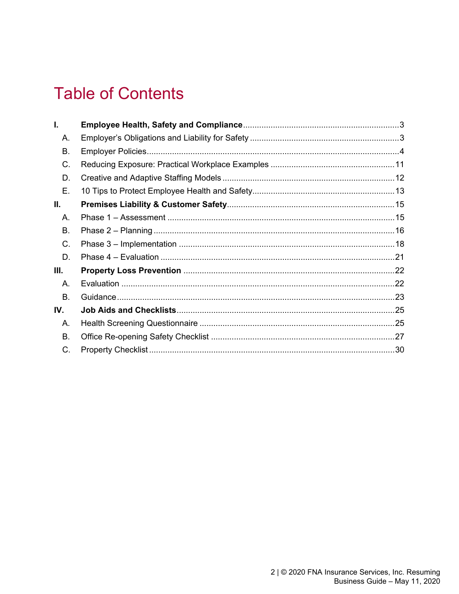# **Table of Contents**

| I.      |  |
|---------|--|
| А.      |  |
| В.      |  |
| C.      |  |
| D.      |  |
| Ε.      |  |
| Ⅱ.      |  |
| $A_{1}$ |  |
| В.      |  |
| C.      |  |
| D.      |  |
| Ш.      |  |
| А.      |  |
| В.      |  |
| IV.     |  |
| Α.      |  |
| В.      |  |
| C.      |  |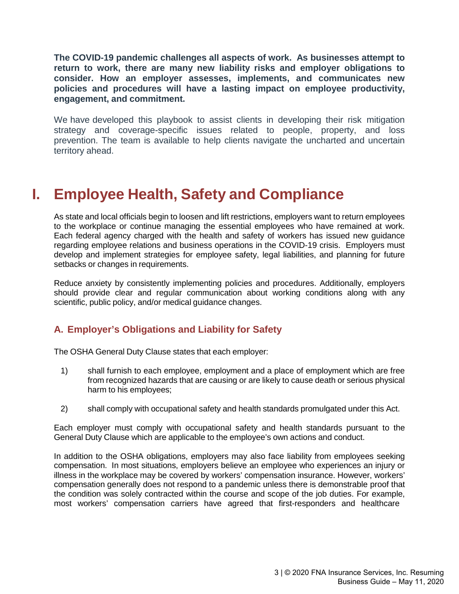**The COVID-19 pandemic challenges all aspects of work. As businesses attempt to return to work, there are many new liability risks and employer obligations to consider. How an employer assesses, implements, and communicates new policies and procedures will have a lasting impact on employee productivity, engagement, and commitment.**

We have developed this playbook to assist clients in developing their risk mitigation strategy and coverage-specific issues related to people, property, and loss prevention. The team is available to help clients navigate the uncharted and uncertain territory ahead.

# **I. Employee Health, Safety and Compliance**

As state and local officials begin to loosen and lift restrictions, employers want to return employees to the workplace or continue managing the essential employees who have remained at work. Each federal agency charged with the health and safety of workers has issued new guidance regarding employee relations and business operations in the COVID-19 crisis. Employers must develop and implement strategies for employee safety, legal liabilities, and planning for future setbacks or changes in requirements.

Reduce anxiety by consistently implementing policies and procedures. Additionally, employers should provide clear and regular communication about working conditions along with any scientific, public policy, and/or medical guidance changes.

## **A. Employer's Obligations and Liability for Safety**

The OSHA General Duty Clause states that each employer:

- 1) shall furnish to each employee, employment and a place of employment which are free from recognized hazards that are causing or are likely to cause death or serious physical harm to his employees;
- 2) shall comply with occupational safety and health standards promulgated under this Act.

Each employer must comply with occupational safety and health standards pursuant to the General Duty Clause which are applicable to the employee's own actions and conduct.

In addition to the OSHA obligations, employers may also face liability from employees seeking compensation. In most situations, employers believe an employee who experiences an injury or illness in the workplace may be covered by workers' compensation insurance. However, workers' compensation generally does not respond to a pandemic unless there is demonstrable proof that the condition was solely contracted within the course and scope of the job duties. For example, most workers' compensation carriers have agreed that first-responders and healthcare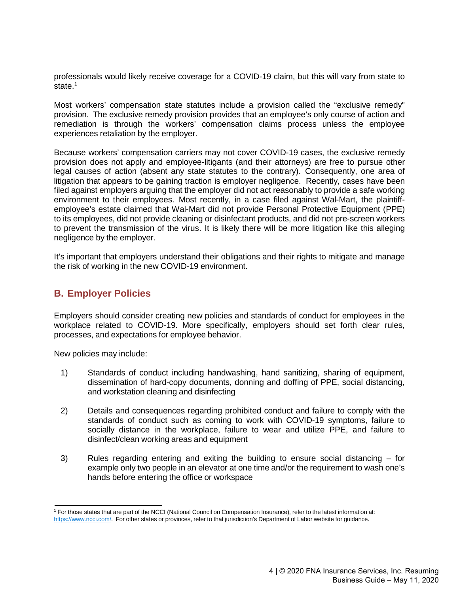professionals would likely receive coverage for a COVID-19 claim, but this will vary from state to state.<sup>1</sup>

Most workers' compensation state statutes include a provision called the "exclusive remedy" provision. The exclusive remedy provision provides that an employee's only course of action and remediation is through the workers' compensation claims process unless the employee experiences retaliation by the employer.

Because workers' compensation carriers may not cover COVID-19 cases, the exclusive remedy provision does not apply and employee-litigants (and their attorneys) are free to pursue other legal causes of action (absent any state statutes to the contrary). Consequently, one area of litigation that appears to be gaining traction is employer negligence. Recently, cases have been filed against employers arguing that the employer did not act reasonably to provide a safe working environment to their employees. Most recently, in a case filed against Wal-Mart, the plaintiffemployee's estate claimed that Wal-Mart did not provide Personal Protective Equipment (PPE) to its employees, did not provide cleaning or disinfectant products, and did not pre-screen workers to prevent the transmission of the virus. It is likely there will be more litigation like this alleging negligence by the employer.

It's important that employers understand their obligations and their rights to mitigate and manage the risk of working in the new COVID-19 environment.

## **B. Employer Policies**

Employers should consider creating new policies and standards of conduct for employees in the workplace related to COVID-19. More specifically, employers should set forth clear rules, processes, and expectations for employee behavior.

New policies may include:

- 1) Standards of conduct including handwashing, hand sanitizing, sharing of equipment, dissemination of hard-copy documents, donning and doffing of PPE, social distancing, and workstation cleaning and disinfecting
- 2) Details and consequences regarding prohibited conduct and failure to comply with the standards of conduct such as coming to work with COVID-19 symptoms, failure to socially distance in the workplace, failure to wear and utilize PPE, and failure to disinfect/clean working areas and equipment
- 3) Rules regarding entering and exiting the building to ensure social distancing for example only two people in an elevator at one time and/or the requirement to wash one's hands before entering the office or workspace

<span id="page-3-0"></span><sup>1</sup> For those states that are part of the NCCI (National Council on Compensation Insurance), refer to the latest information at: [https://www.ncci.com/.](https://www.ncci.com/) For other states or provinces, refer to that jurisdiction's Department of Labor website for guidance.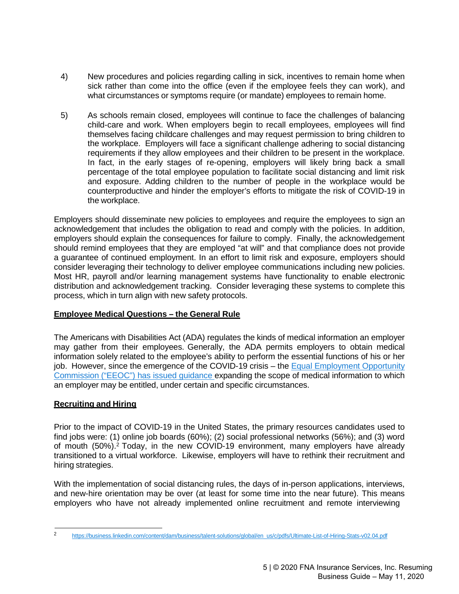- 4) New procedures and policies regarding calling in sick, incentives to remain home when sick rather than come into the office (even if the employee feels they can work), and what circumstances or symptoms require (or mandate) employees to remain home.
- 5) As schools remain closed, employees will continue to face the challenges of balancing child-care and work. When employers begin to recall employees, employees will find themselves facing childcare challenges and may request permission to bring children to the workplace. Employers will face a significant challenge adhering to social distancing requirements if they allow employees and their children to be present in the workplace. In fact, in the early stages of re-opening, employers will likely bring back a small percentage of the total employee population to facilitate social distancing and limit risk and exposure. Adding children to the number of people in the workplace would be counterproductive and hinder the employer's efforts to mitigate the risk of COVID-19 in the workplace.

Employers should disseminate new policies to employees and require the employees to sign an acknowledgement that includes the obligation to read and comply with the policies. In addition, employers should explain the consequences for failure to comply. Finally, the acknowledgement should remind employees that they are employed "at will" and that compliance does not provide a guarantee of continued employment. In an effort to limit risk and exposure, employers should consider leveraging their technology to deliver employee communications including new policies. Most HR, payroll and/or learning management systems have functionality to enable electronic distribution and acknowledgement tracking. Consider leveraging these systems to complete this process, which in turn align with new safety protocols.

## **Employee Medical Questions – the General Rule**

The Americans with Disabilities Act (ADA) regulates the kinds of medical information an employer may gather from their employees. Generally, the ADA permits employers to obtain medical information solely related to the employee's ability to perform the essential functions of his or her job. However, since the emergence of the COVID-19 crisis – the Equal [Employment](https://www.eeoc.gov/eeoc/newsroom/wysk/wysk_ada_rehabilitaion_act_coronavirus.cfm) Opportunity [Commission](https://www.eeoc.gov/eeoc/newsroom/wysk/wysk_ada_rehabilitaion_act_coronavirus.cfm) ("EEOC") has issued guidance expanding the scope of medical information to which an employer may be entitled, under certain and specific circumstances.

## **Recruiting and Hiring**

Prior to the impact of COVID-19 in the United States, the primary resources candidates used to find jobs were: (1) online job boards (60%); (2) social professional networks (56%); and (3) word of mouth (50%)[.2](#page-4-0) Today, in the new COVID-19 environment, many employers have already transitioned to a virtual workforce. Likewise, employers will have to rethink their recruitment and hiring strategies.

With the implementation of social distancing rules, the days of in-person applications, interviews, and new-hire orientation may be over (at least for some time into the near future). This means employers who have not already implemented online recruitment and remote interviewing

<span id="page-4-0"></span><sup>2</sup> [https://business.linkedin.com/content/dam/business/talent-solutions/global/en\\_us/c/pdfs/Ultimate-List-of-Hiring-Stats-v02.04.pdf](https://business.linkedin.com/content/dam/business/talent-solutions/global/en_us/c/pdfs/Ultimate-List-of-Hiring-Stats-v02.04.pdf)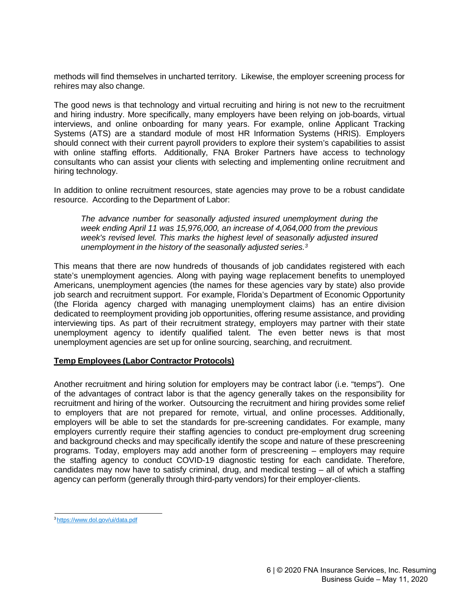methods will find themselves in uncharted territory. Likewise, the employer screening process for rehires may also change.

The good news is that technology and virtual recruiting and hiring is not new to the recruitment and hiring industry. More specifically, many employers have been relying on job-boards, virtual interviews, and online onboarding for many years. For example, online Applicant Tracking Systems (ATS) are a standard module of most HR Information Systems (HRIS). Employers should connect with their current payroll providers to explore their system's capabilities to assist with online staffing efforts. Additionally, FNA Broker Partners have access to technology consultants who can assist your clients with selecting and implementing online recruitment and hiring technology.

In addition to online recruitment resources, state agencies may prove to be a robust candidate resource. According to the Department of Labor:

*The advance number for seasonally adjusted insured unemployment during the week ending April 11 was 15,976,000, an increase of 4,064,000 from the previous week's revised level. This marks the highest level of seasonally adjusted insured unemployment in the history of the seasonally adjusted series[.3](#page-5-0)*

This means that there are now hundreds of thousands of job candidates registered with each state's unemployment agencies. Along with paying wage replacement benefits to unemployed Americans, unemployment agencies (the names for these agencies vary by state) also provide job search and recruitment support. For example, Florida's Department of Economic Opportunity (the Florida agency charged with managing unemployment claims) has an entire division dedicated to reemployment providing job opportunities, offering resume assistance, and providing interviewing tips. As part of their recruitment strategy, employers may partner with their state unemployment agency to identify qualified talent. The even better news is that most unemployment agencies are set up for online sourcing, searching, and recruitment.

## **Temp Employees (Labor Contractor Protocols)**

Another recruitment and hiring solution for employers may be contract labor (i.e. "temps"). One of the advantages of contract labor is that the agency generally takes on the responsibility for recruitment and hiring of the worker. Outsourcing the recruitment and hiring provides some relief to employers that are not prepared for remote, virtual, and online processes. Additionally, employers will be able to set the standards for pre-screening candidates. For example, many employers currently require their staffing agencies to conduct pre-employment drug screening and background checks and may specifically identify the scope and nature of these prescreening programs. Today, employers may add another form of prescreening – employers may require the staffing agency to conduct COVID-19 diagnostic testing for each candidate. Therefore, candidates may now have to satisfy criminal, drug, and medical testing – all of which a staffing agency can perform (generally through third-party vendors) for their employer-clients.

<span id="page-5-0"></span>[<sup>3</sup> https://www.dol.gov/ui/data.pdf](https://www.dol.gov/ui/data.pdf)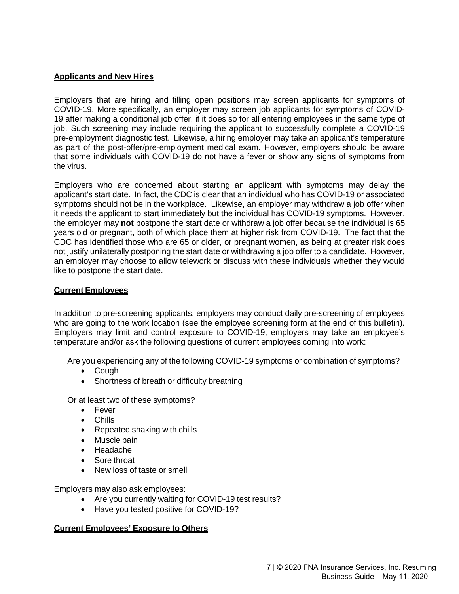## **Applicants and New Hires**

Employers that are hiring and filling open positions may screen applicants for symptoms of COVID-19. More specifically, an employer may screen job applicants for symptoms of COVID-19 after making a conditional job offer, if it does so for all entering employees in the same type of job. Such screening may include requiring the applicant to successfully complete a COVID-19 pre-employment diagnostic test. Likewise, a hiring employer may take an applicant's temperature as part of the post-offer/pre-employment medical exam. However, employers should be aware that some individuals with COVID-19 do not have a fever or show any signs of symptoms from the virus.

Employers who are concerned about starting an applicant with symptoms may delay the applicant's start date. In fact, the CDC is clear that an individual who has COVID-19 or associated symptoms should not be in the workplace. Likewise, an employer may withdraw a job offer when it needs the applicant to start immediately but the individual has COVID-19 symptoms. However, the employer may **not** postpone the start date or withdraw a job offer because the individual is 65 years old or pregnant, both of which place them at higher risk from COVID-19. The fact that the CDC has identified those who are 65 or older, or pregnant women, as being at greater risk does not justify unilaterally postponing the start date or withdrawing a job offer to a candidate. However, an employer may choose to allow telework or discuss with these individuals whether they would like to postpone the start date.

## **Current Employees**

In addition to pre-screening applicants, employers may conduct daily pre-screening of employees who are going to the work location (see the employee screening form at the end of this bulletin). Employers may limit and control exposure to COVID-19, employers may take an employee's temperature and/or ask the following questions of current employees coming into work:

Are you experiencing any of the following COVID-19 symptoms or combination of symptoms?

- Cough
- Shortness of breath or difficulty breathing

Or at least two of these symptoms?

- Fever
- Chills
- Repeated shaking with chills
- Muscle pain
- Headache
- Sore throat
- New loss of taste or smell

Employers may also ask employees:

- Are you currently waiting for COVID-19 test results?
- Have you tested positive for COVID-19?

## **Current Employees' Exposure to Others**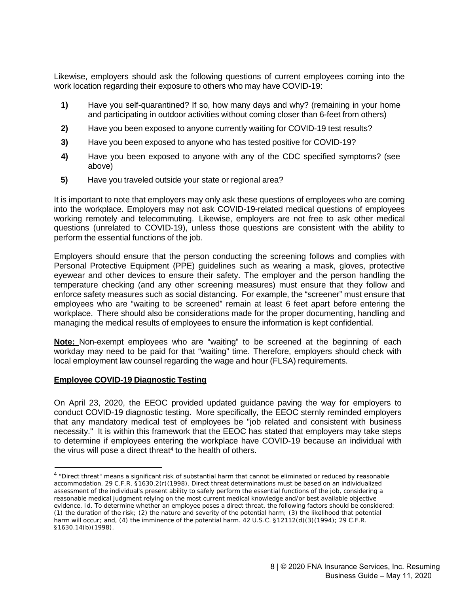Likewise, employers should ask the following questions of current employees coming into the work location regarding their exposure to others who may have COVID-19:

- **1)** Have you self-quarantined? If so, how many days and why? (remaining in your home and participating in outdoor activities without coming closer than 6-feet from others)
- **2)** Have you been exposed to anyone currently waiting for COVID-19 test results?
- **3)** Have you been exposed to anyone who has tested positive for COVID-19?
- **4)** Have you been exposed to anyone with any of the CDC specified symptoms? (see above)
- **5)** Have you traveled outside your state or regional area?

It is important to note that employers may only ask these questions of employees who are coming into the workplace. Employers may not ask COVID-19-related medical questions of employees working remotely and telecommuting. Likewise, employers are not free to ask other medical questions (unrelated to COVID-19), unless those questions are consistent with the ability to perform the essential functions of the job.

Employers should ensure that the person conducting the screening follows and complies with Personal Protective Equipment (PPE) guidelines such as wearing a mask, gloves, protective eyewear and other devices to ensure their safety. The employer and the person handling the temperature checking (and any other screening measures) must ensure that they follow and enforce safety measures such as social distancing. For example, the "screener" must ensure that employees who are "waiting to be screened" remain at least 6 feet apart before entering the workplace. There should also be considerations made for the proper documenting, handling and managing the medical results of employees to ensure the information is kept confidential.

**Note:** Non-exempt employees who are "waiting" to be screened at the beginning of each workday may need to be paid for that "waiting" time. Therefore, employers should check with local employment law counsel regarding the wage and hour (FLSA) requirements.

## **Employee COVID-19 Diagnostic Testing**

On April 23, 2020, the EEOC provided updated guidance paving the way for employers to conduct COVID-19 diagnostic testing. More specifically, the EEOC sternly reminded employers that any mandatory medical test of employees be "job related and consistent with business necessity." It is within this framework that the EEOC has stated that employers may take steps to determine if [employees](https://www.eeoc.gov/eeoc/newsroom/wysk/wysk_ada_rehabilitaion_act_coronavirus.cfm#A.2) entering the workplace have COVID-19 because an [individual](https://www.eeoc.gov/coronavirus/webinar_transcript.cfm#q1) with the virus will [pose a direct](https://www.eeoc.gov/coronavirus/webinar_transcript.cfm#q1) threat<sup>4</sup> to the health of others.

<sup>&</sup>lt;sup>4</sup> "Direct threat" means a significant risk of substantial harm that cannot be eliminated or reduced by reasonable accommodation. 29 C.F.R. §1630.2(r)(1998). Direct threat determinations must be based on an individualized assessment of the individual's present ability to safely perform the essential functions of the job, considering a reasonable medical judgment relying on the most current medical knowledge and/or best available objective evidence. Id. To determine whether an employee poses a direct threat, the following factors should be considered: (1) the duration of the risk; (2) the nature and severity of the potential harm; (3) the likelihood that potential harm will occur; and, (4) the imminence of the potential harm. 42 U.S.C. §12112(d)(3)(1994); 29 C.F.R. §1630.14(b)(1998).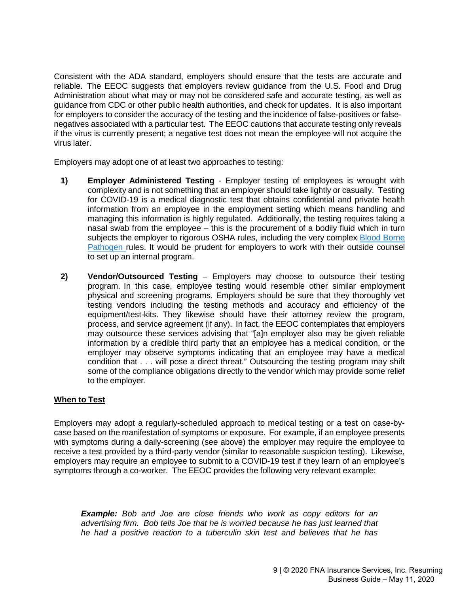Consistent with the ADA standard, employers should ensure that the tests are accurate and reliable. The EEOC suggests that employers review guidance from the U.S. Food and Drug Administration about what may or may not be considered safe and accurate testing, as well as guidance from CDC or other public health authorities, and check for updates. It is also important for employers to consider the accuracy of the testing and the incidence of false-positives or falsenegatives associated with a particular test. The EEOC cautions that accurate testing only reveals if the virus is currently present; a negative test does not mean the employee will not acquire the virus later.

Employers may adopt one of at least two approaches to testing:

- **1) Employer Administered Testing** Employer testing of employees is wrought with complexity and is not something that an employer should take lightly or casually. Testing for COVID-19 is a medical diagnostic test that obtains confidential and private health information from an employee in the employment setting which means handling and managing this information is highly regulated. Additionally, the testing requires taking a nasal swab from the employee – this is the procurement of a bodily fluid which in turn subjects the employer to rigorous OSHA rules, including the very complex Blood [Borne](https://www.osha.gov/laws-regs/regulations/standardnumber/1910/1910.1030) [Pathogen](https://www.osha.gov/laws-regs/regulations/standardnumber/1910/1910.1030) rules. It would be prudent for employers to work with their outside counsel to set up an internal program.
- **2) Vendor/Outsourced Testing** Employers may choose to outsource their testing program. In this case, employee testing would resemble other similar employment physical and screening programs. Employers should be sure that they thoroughly vet testing vendors including the testing methods and accuracy and efficiency of the equipment/test-kits. They likewise should have their attorney review the program, process, and service agreement (if any). In fact, the EEOC contemplates that employers may outsource these services advising that "[a]n employer also may be given reliable information by a credible third party that an employee has a medical condition, or the employer may observe symptoms indicating that an employee may have a medical condition that . . . will pose a direct threat." Outsourcing the testing program may shift some of the compliance obligations directly to the vendor which may provide some relief to the employer.

### **When to Test**

Employers may adopt a regularly-scheduled approach to medical testing or a test on case-bycase based on the manifestation of symptoms or exposure. For example, if an employee presents with symptoms during a daily-screening (see above) the employer may require the employee to receive a test provided by a third-party vendor (similar to reasonable suspicion testing). Likewise, employers may require an employee to submit to a COVID-19 test if they learn of an employee's symptoms through a co-worker. The EEOC provides the following very relevant example:

*Example: Bob and Joe are close friends who work as copy editors for an advertising firm. Bob tells Joe that he is worried because he has just learned that he had a positive reaction to a tuberculin skin test and believes that he has*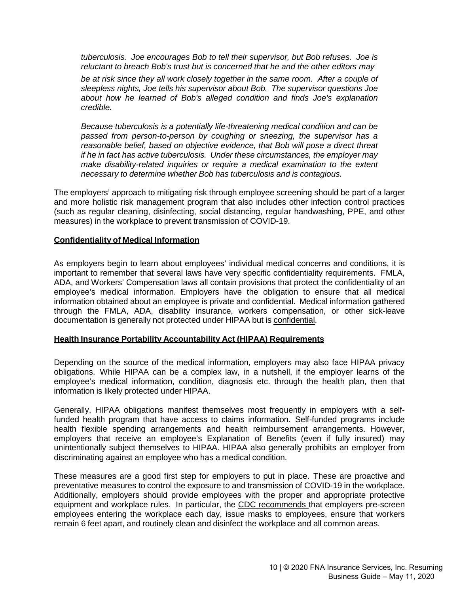*tuberculosis. Joe encourages Bob to tell their supervisor, but Bob refuses. Joe is reluctant to breach Bob's trust but is concerned that he and the other editors may*

*be at risk since they all work closely together in the same room. After a couple of sleepless nights, Joe tells his supervisor about Bob. The supervisor questions Joe about how he learned of Bob's alleged condition and finds Joe's explanation credible.*

*Because tuberculosis is a potentially life-threatening medical condition and can be passed from person-to-person by coughing or sneezing, the supervisor has a reasonable belief, based on objective evidence, that Bob will pose a direct threat if he in fact has active tuberculosis. Under these circumstances, the employer may make disability-related inquiries or require a medical examination to the extent necessary to determine whether Bob has tuberculosis and is contagious.*

The employers' approach to mitigating risk through employee screening should be part of a larger and more holistic risk management program that also includes other infection control practices (such as regular cleaning, disinfecting, social distancing, regular handwashing, PPE, and other measures) in the workplace to prevent transmission of COVID-19.

#### **Confidentiality of Medical Information**

As employers begin to learn about employees' individual medical concerns and conditions, it is important to remember that several laws have very specific confidentiality requirements. FMLA, ADA, and Workers' Compensation laws all contain provisions that protect the confidentiality of an employee's medical information. Employers have the obligation to ensure that all medical information obtained about an employee is private and confidential. Medical information gathered through the FMLA, ADA, disability insurance, workers compensation, or other sick-leave documentation is generally not protected under HIPAA but is confidential.

#### **Health Insurance Portability Accountability Act (HIPAA) Requirements**

Depending on the source of the medical information, employers may also face HIPAA privacy obligations. While HIPAA can be a complex law, in a nutshell, if the employer learns of the employee's medical information, condition, diagnosis etc. through the health plan, then that information is likely protected under HIPAA.

Generally, HIPAA obligations manifest themselves most frequently in employers with a selffunded health program that have access to claims information. Self-funded programs include health flexible spending arrangements and health reimbursement arrangements. However, employers that receive an employee's Explanation of Benefits (even if fully insured) may unintentionally subject themselves to HIPAA. HIPAA also generally prohibits an employer from discriminating against an employee who has a medical condition.

These measures are a good first step for employers to put in place. These are proactive and preventative measures to control the exposure to and transmission of COVID-19 in the workplace. Additionally, employers should provide employees with the proper and appropriate protective equipment and workplace rules. In particular, the [CDC recommends](https://www.cdc.gov/coronavirus/2019-ncov/community/critical-workers/implementing-safety-practices.html) that employers pre-screen employees entering the workplace each day, issue masks to employees, ensure that workers remain 6 feet apart, and routinely clean and disinfect the workplace and all common areas.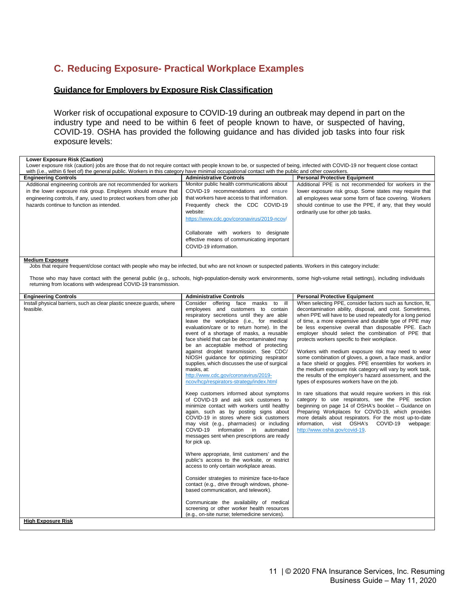# **C. Reducing Exposure- Practical Workplace Examples**

#### **Guidance for Employers by Exposure Risk Classification**

Worker risk of occupational exposure to COVID-19 during an outbreak may depend in part on the industry type and need to be within 6 feet of people known to have, or suspected of having, COVID-19. OSHA has provided the following guidance and has divided job tasks into four risk exposure levels:

| <b>Lower Exposure Risk (Caution)</b><br>Lower exposure risk (caution) jobs are those that do not require contact with people known to be, or suspected of being, infected with COVID-19 nor frequent close contact<br>with (i.e., within 6 feet of) the general public. Workers in this category have minimal occupational contact with the public and other coworkers.                                                         |                                                                                                                                                                                                                                                                                                                                                                                                                                                                                                                                                                                                                                                                                                                                                                                                                                                                                                                                                                                                                                                                                                                                                                                                                                                                                                                                                                                              |                                                                                                                                                                                                                                                                                                                                                                                                                                                                                                                                                                                                                                                                                                                                                                                                                                                                                                                                                                                                                                                                                                                                                   |
|---------------------------------------------------------------------------------------------------------------------------------------------------------------------------------------------------------------------------------------------------------------------------------------------------------------------------------------------------------------------------------------------------------------------------------|----------------------------------------------------------------------------------------------------------------------------------------------------------------------------------------------------------------------------------------------------------------------------------------------------------------------------------------------------------------------------------------------------------------------------------------------------------------------------------------------------------------------------------------------------------------------------------------------------------------------------------------------------------------------------------------------------------------------------------------------------------------------------------------------------------------------------------------------------------------------------------------------------------------------------------------------------------------------------------------------------------------------------------------------------------------------------------------------------------------------------------------------------------------------------------------------------------------------------------------------------------------------------------------------------------------------------------------------------------------------------------------------|---------------------------------------------------------------------------------------------------------------------------------------------------------------------------------------------------------------------------------------------------------------------------------------------------------------------------------------------------------------------------------------------------------------------------------------------------------------------------------------------------------------------------------------------------------------------------------------------------------------------------------------------------------------------------------------------------------------------------------------------------------------------------------------------------------------------------------------------------------------------------------------------------------------------------------------------------------------------------------------------------------------------------------------------------------------------------------------------------------------------------------------------------|
| <b>Engineering Controls</b>                                                                                                                                                                                                                                                                                                                                                                                                     | <b>Administrative Controls</b>                                                                                                                                                                                                                                                                                                                                                                                                                                                                                                                                                                                                                                                                                                                                                                                                                                                                                                                                                                                                                                                                                                                                                                                                                                                                                                                                                               | <b>Personal Protective Equipment</b>                                                                                                                                                                                                                                                                                                                                                                                                                                                                                                                                                                                                                                                                                                                                                                                                                                                                                                                                                                                                                                                                                                              |
| Additional engineering controls are not recommended for workers<br>in the lower exposure risk group. Employers should ensure that<br>engineering controls, if any, used to protect workers from other job<br>hazards continue to function as intended.                                                                                                                                                                          | Monitor public health communications about<br>COVID-19 recommendations and ensure<br>that workers have access to that information.<br>Frequently check the CDC COVID-19<br>website:<br>https://www.cdc.gov/coronavirus/2019-ncov/                                                                                                                                                                                                                                                                                                                                                                                                                                                                                                                                                                                                                                                                                                                                                                                                                                                                                                                                                                                                                                                                                                                                                            | Additional PPE is not recommended for workers in the<br>lower exposure risk group. Some states may require that<br>all employees wear some form of face covering. Workers<br>should continue to use the PPE, if any, that they would<br>ordinarily use for other job tasks.                                                                                                                                                                                                                                                                                                                                                                                                                                                                                                                                                                                                                                                                                                                                                                                                                                                                       |
|                                                                                                                                                                                                                                                                                                                                                                                                                                 | Collaborate with workers to designate<br>effective means of communicating important<br>COVID-19 information.                                                                                                                                                                                                                                                                                                                                                                                                                                                                                                                                                                                                                                                                                                                                                                                                                                                                                                                                                                                                                                                                                                                                                                                                                                                                                 |                                                                                                                                                                                                                                                                                                                                                                                                                                                                                                                                                                                                                                                                                                                                                                                                                                                                                                                                                                                                                                                                                                                                                   |
| <b>Medium Exposure</b><br>Jobs that require frequent/close contact with people who may be infected, but who are not known or suspected patients. Workers in this category include:<br>Those who may have contact with the general public (e.g., schools, high-population-density work environments, some high-volume retail settings), including individuals<br>returning from locations with widespread COVID-19 transmission. |                                                                                                                                                                                                                                                                                                                                                                                                                                                                                                                                                                                                                                                                                                                                                                                                                                                                                                                                                                                                                                                                                                                                                                                                                                                                                                                                                                                              |                                                                                                                                                                                                                                                                                                                                                                                                                                                                                                                                                                                                                                                                                                                                                                                                                                                                                                                                                                                                                                                                                                                                                   |
| <b>Engineering Controls</b>                                                                                                                                                                                                                                                                                                                                                                                                     | <b>Administrative Controls</b>                                                                                                                                                                                                                                                                                                                                                                                                                                                                                                                                                                                                                                                                                                                                                                                                                                                                                                                                                                                                                                                                                                                                                                                                                                                                                                                                                               | <b>Personal Protective Equipment</b>                                                                                                                                                                                                                                                                                                                                                                                                                                                                                                                                                                                                                                                                                                                                                                                                                                                                                                                                                                                                                                                                                                              |
| Install physical barriers, such as clear plastic sneeze quards, where<br>feasible.                                                                                                                                                                                                                                                                                                                                              | Consider offering face masks to ill<br>employees and customers to contain<br>respiratory secretions until they are able<br>leave the workplace (i.e., for medical<br>evaluation/care or to return home). In the<br>event of a shortage of masks, a reusable<br>face shield that can be decontaminated may<br>be an acceptable method of protecting<br>against droplet transmission. See CDC/<br>NIOSH guidance for optimizing respirator<br>supplies, which discusses the use of surgical<br>masks, at:<br>http://www.cdc.gov/coronavirus/2019-<br>ncov/hcp/respirators-strategy/index.html<br>Keep customers informed about symptoms<br>of COVID-19 and ask sick customers to<br>minimize contact with workers until healthy<br>again, such as by posting signs about<br>COVID-19 in stores where sick customers<br>may visit (e.g., pharmacies) or including<br>COVID-19 information in automated<br>messages sent when prescriptions are ready<br>for pick up.<br>Where appropriate, limit customers' and the<br>public's access to the worksite, or restrict<br>access to only certain workplace areas.<br>Consider strategies to minimize face-to-face<br>contact (e.g., drive through windows, phone-<br>based communication, and telework).<br>Communicate the availability of medical<br>screening or other worker health resources<br>(e.g., on-site nurse; telemedicine services). | When selecting PPE, consider factors such as function, fit,<br>decontamination ability, disposal, and cost. Sometimes,<br>when PPE will have to be used repeatedly for a long period<br>of time, a more expensive and durable type of PPE may<br>be less expensive overall than disposable PPE. Each<br>employer should select the combination of PPE that<br>protects workers specific to their workplace.<br>Workers with medium exposure risk may need to wear<br>some combination of gloves, a gown, a face mask, and/or<br>a face shield or goggles. PPE ensembles for workers in<br>the medium exposure risk category will vary by work task,<br>the results of the employer's hazard assessment, and the<br>types of exposures workers have on the job.<br>In rare situations that would require workers in this risk<br>category to use respirators, see the PPE section<br>beginning on page 14 of OSHA's booklet - Guidance on<br>Preparing Workplaces for COVID-19, which provides<br>more details about respirators. For the most up-to-date<br>visit OSHA's<br>information.<br>COVID-19<br>webpage:<br>http://www.osha.gov/covid-19. |
| <b>High Exposure Risk</b>                                                                                                                                                                                                                                                                                                                                                                                                       |                                                                                                                                                                                                                                                                                                                                                                                                                                                                                                                                                                                                                                                                                                                                                                                                                                                                                                                                                                                                                                                                                                                                                                                                                                                                                                                                                                                              |                                                                                                                                                                                                                                                                                                                                                                                                                                                                                                                                                                                                                                                                                                                                                                                                                                                                                                                                                                                                                                                                                                                                                   |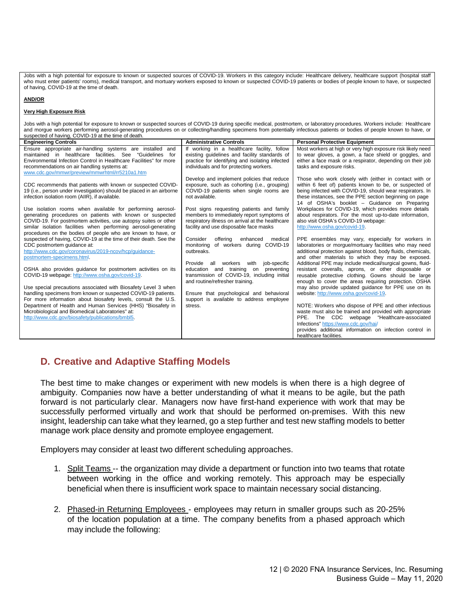Jobs with a high potential for exposure to known or suspected sources of COVID-19. Workers in this category include: Healthcare delivery, healthcare support (hospital staff who must enter patients' rooms), medical transport, and mortuary workers exposed to known or suspected COVID-19 patients or bodies of people known to have, or suspected of having, COVID-19 at the time of death.

#### **AND/OR**

#### **Very High Exposure Risk**

Jobs with a high potential for exposure to known or suspected sources of COVID-19 during specific medical, postmortem, or laboratory procedures. Workers include: Healthcare and morgue workers performing aerosol-generating procedures on or collecting/handling specimens from potentially infectious patients or bodies of people known to have, or suspected of having, COVID-19 at the time of death.

| <b>Engineering Controls</b>                                                                                                       | <b>Administrative Controls</b>                   | <b>Personal Protective Equipment</b>                                                                         |
|-----------------------------------------------------------------------------------------------------------------------------------|--------------------------------------------------|--------------------------------------------------------------------------------------------------------------|
| Ensure appropriate air-handling systems are installed<br>and                                                                      | If working in a healthcare facility, follow      | Most workers at high or very high exposure risk likely need                                                  |
| maintained in healthcare facilities. See "Guidelines<br>for                                                                       | existing quidelines and facility standards of    | to wear gloves, a gown, a face shield or goggles, and                                                        |
| Environmental Infection Control in Healthcare Facilities" for more                                                                | practice for identifying and isolating infected  | either a face mask or a respirator, depending on their job                                                   |
| recommendations on air handling systems at:                                                                                       | individuals and for protecting workers.          | tasks and exposure risks.                                                                                    |
| www.cdc.gov/mmwr/preview/mmwrhtml/rr5210a1.htm                                                                                    |                                                  |                                                                                                              |
|                                                                                                                                   | Develop and implement policies that reduce       | Those who work closely with (either in contact with or                                                       |
| CDC recommends that patients with known or suspected COVID-                                                                       | exposure, such as cohorting (i.e., grouping)     | within 6 feet of) patients known to be, or suspected of                                                      |
| 19 (i.e., person under investigation) should be placed in an airborne                                                             | COVID-19 patients when single rooms are          | being infected with COVID-19, should wear respirators. In                                                    |
| infection isolation room (AIIR), if available.                                                                                    | not available.                                   | these instances, see the PPE section beginning on page                                                       |
|                                                                                                                                   |                                                  | 14 of OSHA's booklet - Guidance on Preparing                                                                 |
| Use isolation rooms when available for performing aerosol-                                                                        | Post signs requesting patients and family        | Workplaces for COVID-19, which provides more details                                                         |
| generating procedures on patients with known or suspected                                                                         | members to immediately report symptoms of        | about respirators. For the most up-to-date information,                                                      |
| COVID-19. For postmortem activities, use autopsy suites or other                                                                  | respiratory illness on arrival at the healthcare | also visit OSHA's COVID-19 webpage:                                                                          |
| similar isolation facilities when performing aerosol-generating                                                                   | facility and use disposable face masks           | http://www.osha.gov/covid-19.                                                                                |
| procedures on the bodies of people who are known to have, or<br>suspected of having, COVID-19 at the time of their death. See the | Consider<br>offering<br>enhanced<br>medical      |                                                                                                              |
| CDC postmortem guidance at:                                                                                                       | monitoring of workers during COVID-19            | PPE ensembles may vary, especially for workers in<br>laboratories or morque/mortuary facilities who may need |
| http://www.cdc.gov/coronavirus/2019-ncov/hcp/quidance-                                                                            | outbreaks.                                       | additional protection against blood, body fluids, chemicals,                                                 |
| postmortem-specimens.html.                                                                                                        |                                                  | and other materials to which they may be exposed.                                                            |
|                                                                                                                                   | job-specific<br>workers<br>with<br>Provide all   | Additional PPE may include medical/surgical gowns, fluid-                                                    |
| OSHA also provides guidance for postmortem activities on its                                                                      | education and training on<br>preventing          | resistant coveralls, aprons, or other disposable or                                                          |
| COVID-19 webpage: http://www.osha.gov/covid-19.                                                                                   | transmission of COVID-19, including initial      | reusable protective clothing. Gowns should be large                                                          |
|                                                                                                                                   | and routine/refresher training.                  | enough to cover the areas requiring protection. OSHA                                                         |
| Use special precautions associated with Biosafety Level 3 when                                                                    |                                                  | may also provide updated guidance for PPE use on its                                                         |
| handling specimens from known or suspected COVID-19 patients.                                                                     | Ensure that psychological and behavioral         | website: http://www.osha.gov/covid-19.                                                                       |
| For more information about biosafety levels, consult the U.S.                                                                     | support is available to address employee         |                                                                                                              |
| Department of Health and Human Services (HHS) "Biosafety in                                                                       | stress.                                          | NOTE: Workers who dispose of PPE and other infectious                                                        |
| Microbiological and Biomedical Laboratories" at:                                                                                  |                                                  | waste must also be trained and provided with appropriate                                                     |
| http://www.cdc.gov/biosafety/publications/bmbl5.                                                                                  |                                                  | PPE. The CDC webpage "Healthcare-associated                                                                  |
|                                                                                                                                   |                                                  | Infections" https://www.cdc.gov/hai/                                                                         |
|                                                                                                                                   |                                                  | provides additional information on infection control in                                                      |
|                                                                                                                                   |                                                  | healthcare facilities.                                                                                       |

## **D. Creative and Adaptive Staffing Models**

The best time to make changes or experiment with new models is when there is a high degree of ambiguity. Companies now have a better understanding of what it means to be agile, but the path forward is not particularly clear. Managers now have first-hand experience with work that may be successfully performed virtually and work that should be performed on-premises. With this new insight, leadership can take what they learned, go a step further and test new staffing models to better manage work place density and promote employee engagement.

Employers may consider at least two different scheduling approaches.

- 1. Split Teams -- the organization may divide a department or function into two teams that rotate between working in the office and working remotely. This approach may be especially beneficial when there is insufficient work space to maintain necessary social distancing.
- 2. Phased-in Returning Employees employees may return in smaller groups such as 20-25% of the location population at a time. The company benefits from a phased approach which may include the following: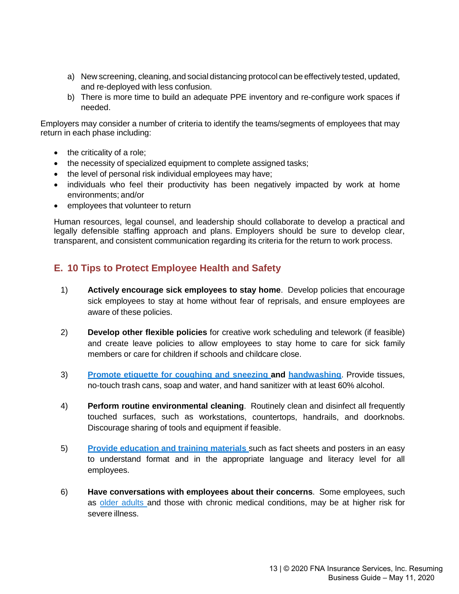- a) New screening, cleaning, and social distancing protocol can be effectively tested, updated, and re-deployed with less confusion.
- b) There is more time to build an adequate PPE inventory and re-configure work spaces if needed.

Employers may consider a number of criteria to identify the teams/segments of employees that may return in each phase including:

- the criticality of a role;
- the necessity of specialized equipment to complete assigned tasks;
- the level of personal risk individual employees may have;
- individuals who feel their productivity has been negatively impacted by work at home environments; and/or
- employees that volunteer to return

Human resources, legal counsel, and leadership should collaborate to develop a practical and legally defensible staffing approach and plans. Employers should be sure to develop clear, transparent, and consistent communication regarding its criteria for the return to work process.

# **E. 10 Tips to Protect Employee Health and Safety**

- 1) **Actively encourage sick employees to stay home**. Develop policies that encourage sick employees to stay at home without fear of reprisals, and ensure employees are aware of these policies.
- 2) **Develop other flexible policies** for creative work scheduling and telework (if feasible) and create leave policies to allow employees to stay home to care for sick family members or care for children if schools and childcare close.
- 3) **[Promote etiquette for](https://www.cdc.gov/healthywater/hygiene/etiquette/coughing_sneezing.html)) coughing and sneezing and [handwashing](https://www.cdc.gov/handwashing/index.html))**. Provide tissues, no-touch trash cans, soap and water, and hand sanitizer with at least 60% alcohol.
- 4) **Perform routine environmental cleaning**. Routinely clean and disinfect all frequently touched surfaces, such as workstations, countertops, handrails, and doorknobs. Discourage sharing of tools and equipment if feasible.
- 5) **Provide [education](https://www.cdc.gov/coronavirus/2019-ncov/communication/index.html) and training materials** such as fact sheets and posters in an easy to understand format and in the appropriate language and literacy level for all employees.
- 6) **Have conversations with employees about their concerns**. Some employees, such as older [adults](https://www.cdc.gov/coronavirus/2019-ncov/need-extraprecautions/older-adults.html) and those with chronic medical conditions, may be at higher risk for severe illness.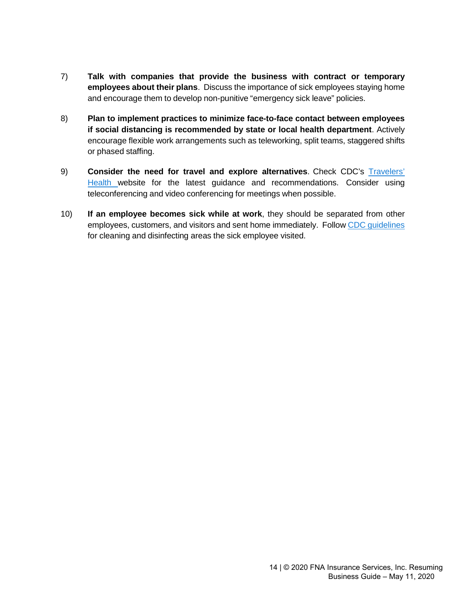- 7) **Talk with companies that provide the business with contract or temporary employees about their plans**. Discuss the importance of sick employees staying home and encourage them to develop non-punitive "emergency sick leave" policies.
- 8) **Plan to implement practices to minimize face-to-face contact between employees if social distancing is recommended by state or local health department**. Actively encourage flexible work arrangements such as teleworking, split teams, staggered shifts or phased staffing.
- 9) **Consider the need for travel and explore alternatives**. Check CDC's [Travelers'](https://wwwnc.cdc.gov/travel) [Health](https://wwwnc.cdc.gov/travel) website for the latest guidance and recommendations. Consider using teleconferencing and video conferencing for meetings when possible.
- 10) **If an employee becomes sick while at work**, they should be separated from other employees, customers, and visitors and sent home immediately. Follow [CDC](https://www.cdc.gov/coronavirus/2019-ncov/community/disinfecting-building-facility.html) guidelines for cleaning and disinfecting areas the sick employee visited.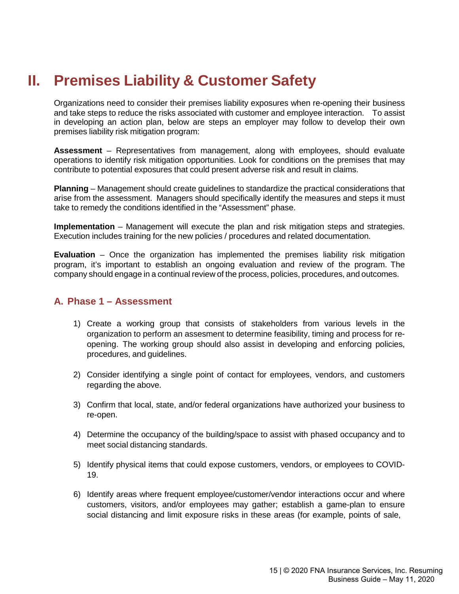# **II. Premises Liability & Customer Safety**

Organizations need to consider their premises liability exposures when re-opening their business and take steps to reduce the risks associated with customer and employee interaction. To assist in developing an action plan, below are steps an employer may follow to develop their own premises liability risk mitigation program:

**Assessment** – Representatives from management, along with employees, should evaluate operations to identify risk mitigation opportunities. Look for conditions on the premises that may contribute to potential exposures that could present adverse risk and result in claims.

**Planning** – Management should create guidelines to standardize the practical considerations that arise from the assessment. Managers should specifically identify the measures and steps it must take to remedy the conditions identified in the "Assessment" phase.

**Implementation** – Management will execute the plan and risk mitigation steps and strategies. Execution includes training for the new policies / procedures and related documentation.

**Evaluation** – Once the organization has implemented the premises liability risk mitigation program, it's important to establish an ongoing evaluation and review of the program. The company should engage in a continual review of the process, policies, procedures, and outcomes.

## **A. Phase 1 – Assessment**

- 1) Create a working group that consists of stakeholders from various levels in the organization to perform an assesment to determine feasibility, timing and process for reopening. The working group should also assist in developing and enforcing policies, procedures, and guidelines.
- 2) Consider identifying a single point of contact for employees, vendors, and customers regarding the above.
- 3) Confirm that local, state, and/or federal organizations have authorized your business to re-open.
- 4) Determine the occupancy of the building/space to assist with phased occupancy and to meet social distancing standards.
- 5) Identify physical items that could expose customers, vendors, or employees to COVID-19.
- 6) Identify areas where frequent employee/customer/vendor interactions occur and where customers, visitors, and/or employees may gather; establish a game-plan to ensure social distancing and limit exposure risks in these areas (for example, points of sale,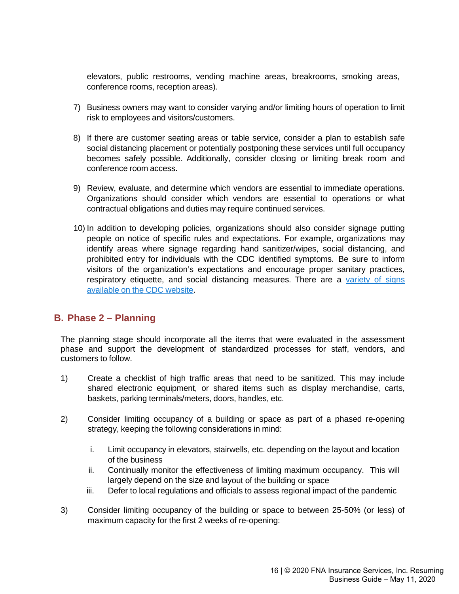elevators, public restrooms, vending machine areas, breakrooms, smoking areas, conference rooms, reception areas).

- 7) Business owners may want to consider varying and/or limiting hours of operation to limit risk to employees and visitors/customers.
- 8) If there are customer seating areas or table service, consider a plan to establish safe social distancing placement or potentially postponing these services until full occupancy becomes safely possible. Additionally, consider closing or limiting break room and conference room access.
- 9) Review, evaluate, and determine which vendors are essential to immediate operations. Organizations should consider which vendors are essential to operations or what contractual obligations and duties may require continued services.
- 10) In addition to developing policies, organizations should also consider signage putting people on notice of specific rules and expectations. For example, organizations may identify areas where signage regarding hand sanitizer/wipes, social distancing, and prohibited entry for individuals with the CDC identified symptoms. Be sure to inform visitors of the organization's expectations and encourage proper sanitary practices, respiratory etiquette, and social distancing measures. There are a [variety](https://www.cdc.gov/coronavirus/2019-ncov/communication/print-resources.html?Sort=Date%3A%3Adesc) of signs [available](https://www.cdc.gov/coronavirus/2019-ncov/communication/print-resources.html?Sort=Date%3A%3Adesc) on the CDC website.

## **B. Phase 2 – Planning**

The planning stage should incorporate all the items that were evaluated in the assessment phase and support the development of standardized processes for staff, vendors, and customers to follow.

- 1) Create a checklist of high traffic areas that need to be sanitized. This may include shared electronic equipment, or shared items such as display merchandise, carts, baskets, parking terminals/meters, doors, handles, etc.
- 2) Consider limiting occupancy of a building or space as part of a phased re-opening strategy, keeping the following considerations in mind:
	- i. Limit occupancy in elevators, stairwells, etc. depending on the layout and location of the business
	- ii. Continually monitor the effectiveness of limiting maximum occupancy. This will largely depend on the size and layout of the building or space
	- iii. Defer to local regulations and officials to assess regional impact of the pandemic
- 3) Consider limiting occupancy of the building or space to between 25-50% (or less) of maximum capacity for the first 2 weeks of re-opening: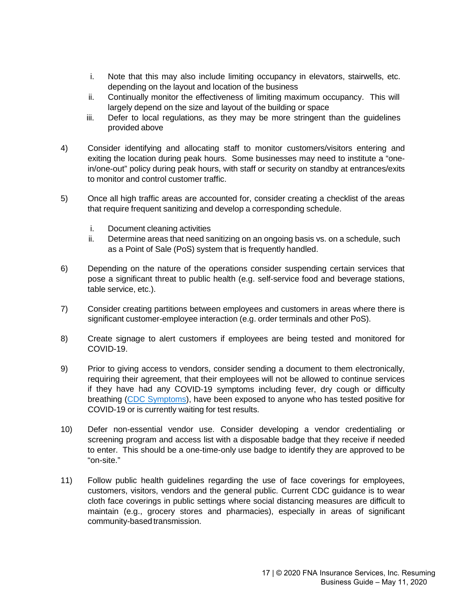- i. Note that this may also include limiting occupancy in elevators, stairwells, etc. depending on the layout and location of the business
- ii. Continually monitor the effectiveness of limiting maximum occupancy. This will largely depend on the size and layout of the building or space
- iii. Defer to local regulations, as they may be more stringent than the guidelines provided above
- 4) Consider identifying and allocating staff to monitor customers/visitors entering and exiting the location during peak hours. Some businesses may need to institute a "onein/one-out" policy during peak hours, with staff or security on standby at entrances/exits to monitor and control customer traffic.
- 5) Once all high traffic areas are accounted for, consider creating a checklist of the areas that require frequent sanitizing and develop a corresponding schedule.
	- i. Document cleaning activities
	- ii. Determine areas that need sanitizing on an ongoing basis vs. on a schedule, such as a Point of Sale (PoS) system that is frequently handled.
- 6) Depending on the nature of the operations consider suspending certain services that pose a significant threat to public health (e.g. self-service food and beverage stations, table service, etc.).
- 7) Consider creating partitions between employees and customers in areas where there is significant customer-employee interaction (e.g. order terminals and other PoS).
- 8) Create signage to alert customers if employees are being tested and monitored for COVID-19.
- 9) Prior to giving access to vendors, consider sending a document to them electronically, requiring their agreement, that their employees will not be allowed to continue services if they have had any COVID-19 symptoms including fever, dry cough or difficulty breathing (CDC [Symptoms\)](https://www.cdc.gov/coronavirus/2019-ncov/symptoms-testing/symptoms.html), have been exposed to anyone who has tested positive for COVID-19 or is currently waiting for test results.
- 10) Defer non-essential vendor use. Consider developing a vendor credentialing or screening program and access list with a disposable badge that they receive if needed to enter. This should be a one-time-only use badge to identify they are approved to be "on-site."
- 11) Follow public health guidelines regarding the use of face coverings for employees, customers, visitors, vendors and the general public. Current CDC guidance is to wear cloth face coverings in public settings where social distancing measures are difficult to maintain (e.g., grocery stores and pharmacies), especially in areas of significant community-based transmission.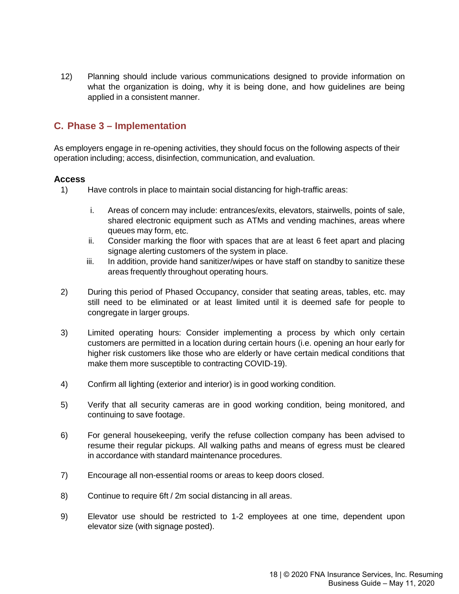12) Planning should include various communications designed to provide information on what the organization is doing, why it is being done, and how guidelines are being applied in a consistent manner.

# **C. Phase 3 – Implementation**

As employers engage in re-opening activities, they should focus on the following aspects of their operation including; access, disinfection, communication, and evaluation.

## **Access**

- 1) Have controls in place to maintain social distancing for high-traffic areas:
	- i. Areas of concern may include: entrances/exits, elevators, stairwells, points of sale, shared electronic equipment such as ATMs and vending machines, areas where queues may form, etc.
	- ii. Consider marking the floor with spaces that are at least 6 feet apart and placing signage alerting customers of the system in place.
	- iii. In addition, provide hand sanitizer/wipes or have staff on standby to sanitize these areas frequently throughout operating hours.
- 2) During this period of Phased Occupancy, consider that seating areas, tables, etc. may still need to be eliminated or at least limited until it is deemed safe for people to congregate in larger groups.
- 3) Limited operating hours: Consider implementing a process by which only certain customers are permitted in a location during certain hours (i.e. opening an hour early for higher risk customers like those who are elderly or have certain medical conditions that make them more susceptible to contracting COVID-19).
- 4) Confirm all lighting (exterior and interior) is in good working condition.
- 5) Verify that all security cameras are in good working condition, being monitored, and continuing to save footage.
- 6) For general housekeeping, verify the refuse collection company has been advised to resume their regular pickups. All walking paths and means of egress must be cleared in accordance with standard maintenance procedures.
- 7) Encourage all non-essential rooms or areas to keep doors closed.
- 8) Continue to require 6ft / 2m social distancing in all areas.
- 9) Elevator use should be restricted to 1-2 employees at one time, dependent upon elevator size (with signage posted).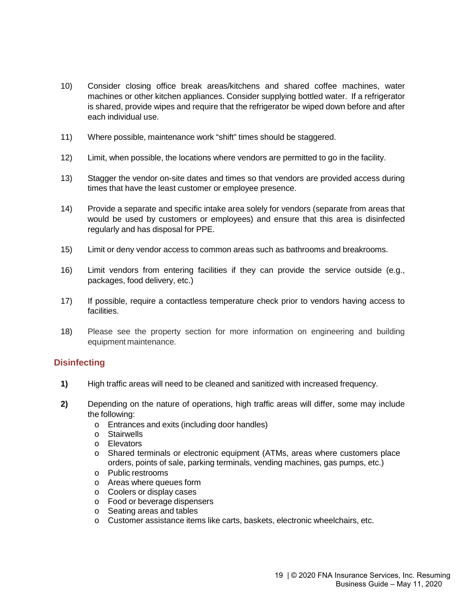- 10) Consider closing office break areas/kitchens and shared coffee machines, water machines or other kitchen appliances. Consider supplying bottled water. If a refrigerator is shared, provide wipes and require that the refrigerator be wiped down before and after each individual use.
- 11) Where possible, maintenance work "shift" times should be staggered.
- 12) Limit, when possible, the locations where vendors are permitted to go in the facility.
- 13) Stagger the vendor on-site dates and times so that vendors are provided access during times that have the least customer or employee presence.
- 14) Provide a separate and specific intake area solely for vendors (separate from areas that would be used by customers or employees) and ensure that this area is disinfected regularly and has disposal for PPE.
- 15) Limit or deny vendor access to common areas such as bathrooms and breakrooms.
- 16) Limit vendors from entering facilities if they can provide the service outside (e.g., packages, food delivery, etc.)
- 17) If possible, require a contactless temperature check prior to vendors having access to facilities.
- 18) Please see the property section for more information on engineering and building equipment maintenance.

## **Disinfecting**

- **1)** High traffic areas will need to be cleaned and sanitized with increased frequency.
- **2)** Depending on the nature of operations, high traffic areas will differ, some may include the following:
	- o Entrances and exits (including door handles)
	- o Stairwells
	- o Elevators
	- o Shared terminals or electronic equipment (ATMs, areas where customers place orders, points of sale, parking terminals, vending machines, gas pumps, etc.)
	- o Public restrooms
	- o Areas where queues form
	- o Coolers or display cases
	- o Food or beverage dispensers
	- o Seating areas and tables
	- o Customer assistance items like carts, baskets, electronic wheelchairs, etc.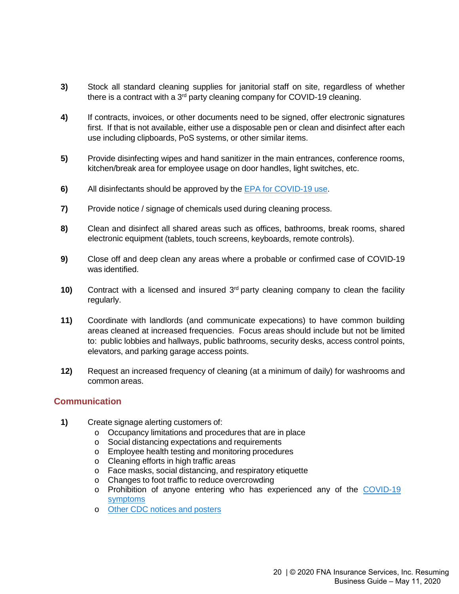- **3)** Stock all standard cleaning supplies for janitorial staff on site, regardless of whether there is a contract with a 3<sup>rd</sup> party cleaning company for COVID-19 cleaning.
- **4)** If contracts, invoices, or other documents need to be signed, offer electronic signatures first. If that is not available, either use a disposable pen or clean and disinfect after each use including clipboards, PoS systems, or other similar items.
- **5)** Provide disinfecting wipes and hand sanitizer in the main entrances, conference rooms, kitchen/break area for employee usage on door handles, light switches, etc.
- **6)** All disinfectants should be approved by the [EPA](https://www.epa.gov/pesticide-registration/list-n-disinfectants-use-against-sars-cov-2) for COVID-19 use.
- **7)** Provide notice / signage of chemicals used during cleaning process.
- **8)** Clean and disinfect all shared areas such as offices, bathrooms, break rooms, shared electronic equipment (tablets, touch screens, keyboards, remote controls).
- **9)** Close off and deep clean any areas where a probable or confirmed case of COVID-19 was identified.
- **10)** Contract with a licensed and insured  $3<sup>rd</sup>$  party cleaning company to clean the facility regularly.
- **11)** Coordinate with landlords (and communicate expecations) to have common building areas cleaned at increased frequencies. Focus areas should include but not be limited to: public lobbies and hallways, public bathrooms, security desks, access control points, elevators, and parking garage access points.
- **12)** Request an increased frequency of cleaning (at a minimum of daily) for washrooms and common areas.

## **Communication**

- **1)** Create signage alerting customers of:
	- o Occupancy limitations and procedures that are in place
	- o Social distancing expectations and requirements
	- o Employee health testing and monitoring procedures
	- o Cleaning efforts in high traffic areas
	- o Face masks, social distancing, and respiratory etiquette
	- o Changes to foot traffic to reduce overcrowding
	- o Prohibition of anyone entering who has experienced any of the [COVID-19](https://www.cdc.gov/coronavirus/2019-ncov/symptoms-testing/symptoms.html) [symptoms](https://www.cdc.gov/coronavirus/2019-ncov/symptoms-testing/symptoms.html)
	- o Other CDC notices and [posters](https://www.cdc.gov/coronavirus/2019-ncov/communication/print-resources.html?Sort=Date%3A%3Adesc)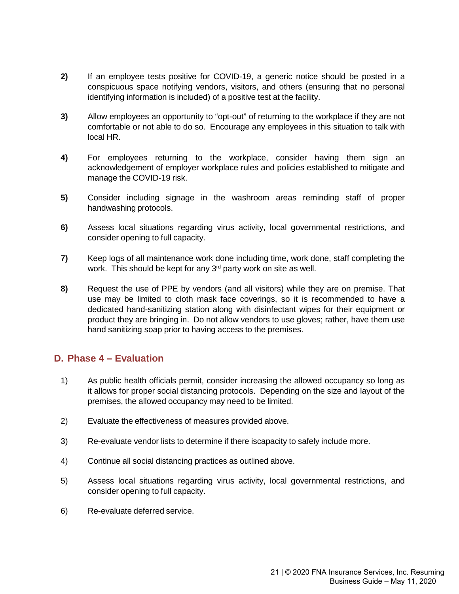- **2)** If an employee tests positive for COVID-19, a generic notice should be posted in a conspicuous space notifying vendors, visitors, and others (ensuring that no personal identifying information is included) of a positive test at the facility.
- **3)** Allow employees an opportunity to "opt-out" of returning to the workplace if they are not comfortable or not able to do so. Encourage any employees in this situation to talk with local HR.
- **4)** For employees returning to the workplace, consider having them sign an acknowledgement of employer workplace rules and policies established to mitigate and manage the COVID-19 risk.
- **5)** Consider including signage in the washroom areas reminding staff of proper handwashing protocols.
- **6)** Assess local situations regarding virus activity, local governmental restrictions, and consider opening to full capacity.
- **7)** Keep logs of all maintenance work done including time, work done, staff completing the work. This should be kept for any 3<sup>rd</sup> party work on site as well.
- **8)** Request the use of PPE by vendors (and all visitors) while they are on premise. That use may be limited to cloth mask face coverings, so it is recommended to have a dedicated hand-sanitizing station along with disinfectant wipes for their equipment or product they are bringing in. Do not allow vendors to use gloves; rather, have them use hand sanitizing soap prior to having access to the premises.

## **D. Phase 4 – Evaluation**

- 1) As public health officials permit, consider increasing the allowed occupancy so long as it allows for proper social distancing protocols. Depending on the size and layout of the premises, the allowed occupancy may need to be limited.
- 2) Evaluate the effectiveness of measures provided above.
- 3) Re-evaluate vendor lists to determine if there iscapacity to safely include more.
- 4) Continue all social distancing practices as outlined above.
- 5) Assess local situations regarding virus activity, local governmental restrictions, and consider opening to full capacity.
- 6) Re-evaluate deferred service.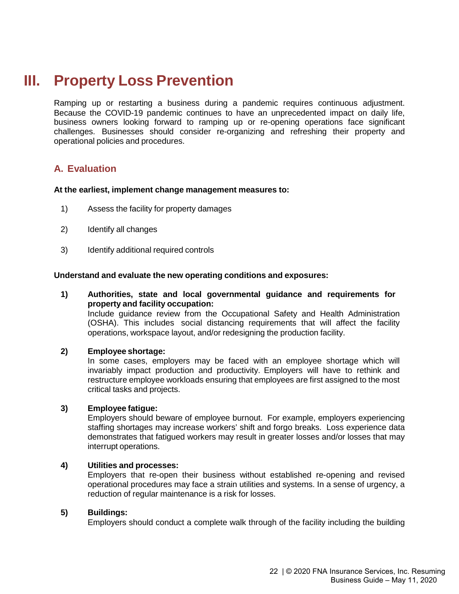# **III. Property Loss Prevention**

Ramping up or restarting a business during a pandemic requires continuous adjustment. Because the COVID-19 pandemic continues to have an unprecedented impact on daily life, business owners looking forward to ramping up or re-opening operations face significant challenges. Businesses should consider re-organizing and refreshing their property and operational policies and procedures.

# **A. Evaluation**

#### **At the earliest, implement change management measures to:**

- 1) Assess the facility for property damages
- 2) Identify all changes
- 3) Identify additional required controls

#### **Understand and evaluate the new operating conditions and exposures:**

#### **1) Authorities, state and local governmental guidance and requirements for property and facility occupation:**

Include guidance review from the Occupational Safety and Health Administration (OSHA). This includes social distancing requirements that will affect the facility operations, workspace layout, and/or redesigning the production facility.

#### **2) Employee shortage:**

In some cases, employers may be faced with an employee shortage which will invariably impact production and productivity. Employers will have to rethink and restructure employee workloads ensuring that employees are first assigned to the most critical tasks and projects.

#### **3) Employee fatigue:**

Employers should beware of employee burnout. For example, employers experiencing staffing shortages may increase workers' shift and forgo breaks. Loss experience data demonstrates that fatigued workers may result in greater losses and/or losses that may interrupt operations.

#### **4) Utilities and processes:**

Employers that re-open their business without established re-opening and revised operational procedures may face a strain utilities and systems. In a sense of urgency, a reduction of regular maintenance is a risk for losses.

### **5) Buildings:**

Employers should conduct a complete walk through of the facility including the building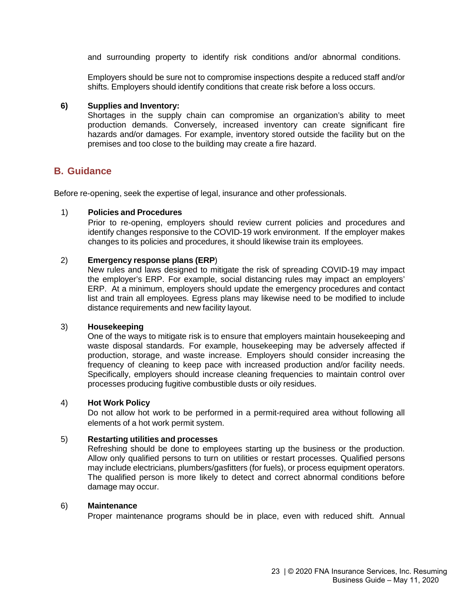and surrounding property to identify risk conditions and/or abnormal conditions.

Employers should be sure not to compromise inspections despite a reduced staff and/or shifts. Employers should identify conditions that create risk before a loss occurs.

#### **6) Supplies and Inventory:**

Shortages in the supply chain can compromise an organization's ability to meet production demands. Conversely, increased inventory can create significant fire hazards and/or damages. For example, inventory stored outside the facility but on the premises and too close to the building may create a fire hazard.

## **B. Guidance**

Before re-opening, seek the expertise of legal, insurance and other professionals.

#### 1) **Policies and Procedures**

Prior to re-opening, employers should review current policies and procedures and identify changes responsive to the COVID-19 work environment. If the employer makes changes to its policies and procedures, it should likewise train its employees.

### 2) **Emergency response plans (ERP**)

New rules and laws designed to mitigate the risk of spreading COVID-19 may impact the employer's ERP. For example, social distancing rules may impact an employers' ERP. At a minimum, employers should update the emergency procedures and contact list and train all employees. Egress plans may likewise need to be modified to include distance requirements and new facility layout.

#### 3) **Housekeeping**

One of the ways to mitigate risk is to ensure that employers maintain housekeeping and waste disposal standards. For example, housekeeping may be adversely affected if production, storage, and waste increase. Employers should consider increasing the frequency of cleaning to keep pace with increased production and/or facility needs. Specifically, employers should increase cleaning frequencies to maintain control over processes producing fugitive combustible dusts or oily residues.

#### 4) **Hot Work Policy**

Do not allow hot work to be performed in a permit-required area without following all elements of a hot work permit system.

#### 5) **Restarting utilities and processes**

Refreshing should be done to employees starting up the business or the production. Allow only qualified persons to turn on utilities or restart processes. Qualified persons may include electricians, plumbers/gasfitters (for fuels), or process equipment operators. The qualified person is more likely to detect and correct abnormal conditions before damage may occur.

#### 6) **Maintenance**

Proper maintenance programs should be in place, even with reduced shift. Annual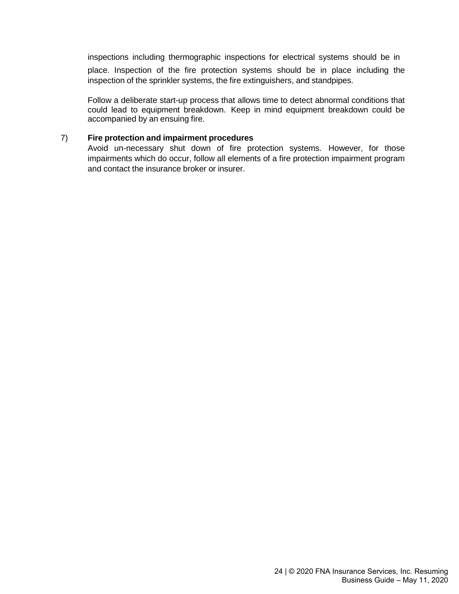inspections including thermographic inspections for electrical systems should be in place. Inspection of the fire protection systems should be in place including the inspection of the sprinkler systems, the fire extinguishers, and standpipes.

Follow a deliberate start-up process that allows time to detect abnormal conditions that could lead to equipment breakdown. Keep in mind equipment breakdown could be accompanied by an ensuing fire.

### 7) **Fire protection and impairment procedures**

Avoid un-necessary shut down of fire protection systems. However, for those impairments which do occur, follow all elements of a fire protection impairment program and contact the insurance broker or insurer.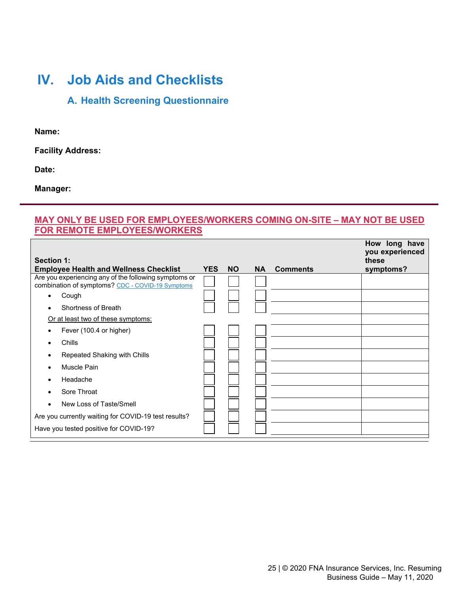# **IV. Job Aids and Checklists**

# **A. Health Screening Questionnaire**

**Name:**

**Facility Address:**

**Date:**

**Manager:**

## **MAY ONLY BE USED FOR EMPLOYEES/WORKERS COMING ON-SITE – MAY NOT BE USED FOR REMOTE EMPLOYEES/WORKERS**

| <b>Section 1:</b><br><b>Employee Health and Wellness Checklist</b> | <b>YES</b> | <b>NO</b> | <b>NA</b> | <b>Comments</b> | How long have<br>you experienced<br>these<br>symptoms? |
|--------------------------------------------------------------------|------------|-----------|-----------|-----------------|--------------------------------------------------------|
| Are you experiencing any of the following symptoms or              |            |           |           |                 |                                                        |
| combination of symptoms? CDC - COVID-19 Symptoms                   |            |           |           |                 |                                                        |
| Cough<br>$\bullet$                                                 |            |           |           |                 |                                                        |
| Shortness of Breath                                                |            |           |           |                 |                                                        |
| Or at least two of these symptoms:                                 |            |           |           |                 |                                                        |
| Fever (100.4 or higher)                                            |            |           |           |                 |                                                        |
| Chills<br>٠                                                        |            |           |           |                 |                                                        |
| Repeated Shaking with Chills                                       |            |           |           |                 |                                                        |
| <b>Muscle Pain</b>                                                 |            |           |           |                 |                                                        |
| Headache                                                           |            |           |           |                 |                                                        |
| Sore Throat                                                        |            |           |           |                 |                                                        |
| New Loss of Taste/Smell<br>$\bullet$                               |            |           |           |                 |                                                        |
| Are you currently waiting for COVID-19 test results?               |            |           |           |                 |                                                        |
| Have you tested positive for COVID-19?                             |            |           |           |                 |                                                        |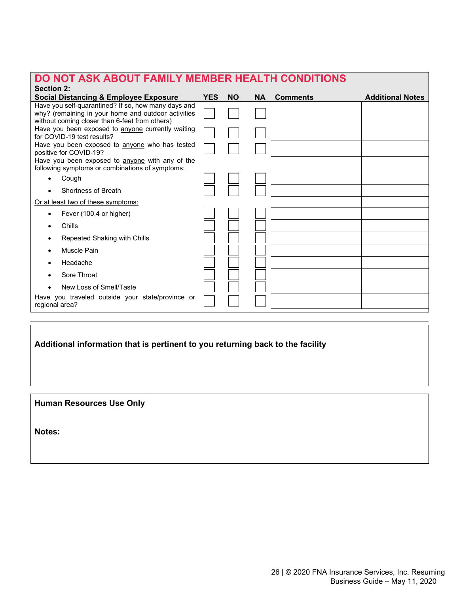| DO NOT ASK ABOUT FAMILY MEMBER HEALTH CONDITIONS<br><b>Section 2:</b>                                                                                        |            |           |           |                 |                         |
|--------------------------------------------------------------------------------------------------------------------------------------------------------------|------------|-----------|-----------|-----------------|-------------------------|
| <b>Social Distancing &amp; Employee Exposure</b>                                                                                                             | <b>YES</b> | <b>NO</b> | <b>NA</b> | <b>Comments</b> | <b>Additional Notes</b> |
| Have you self-quarantined? If so, how many days and<br>why? (remaining in your home and outdoor activities<br>without coming closer than 6-feet from others) |            |           |           |                 |                         |
| Have you been exposed to anyone currently waiting<br>for COVID-19 test results?                                                                              |            |           |           |                 |                         |
| Have you been exposed to anyone who has tested<br>positive for COVID-19?                                                                                     |            |           |           |                 |                         |
| Have you been exposed to anyone with any of the<br>following symptoms or combinations of symptoms:                                                           |            |           |           |                 |                         |
| Cough<br>$\bullet$                                                                                                                                           |            |           |           |                 |                         |
| Shortness of Breath                                                                                                                                          |            |           |           |                 |                         |
| Or at least two of these symptoms:                                                                                                                           |            |           |           |                 |                         |
| Fever (100.4 or higher)                                                                                                                                      |            |           |           |                 |                         |
| Chills                                                                                                                                                       |            |           |           |                 |                         |
| Repeated Shaking with Chills                                                                                                                                 |            |           |           |                 |                         |
| Muscle Pain                                                                                                                                                  |            |           |           |                 |                         |
| Headache                                                                                                                                                     |            |           |           |                 |                         |
| Sore Throat                                                                                                                                                  |            |           |           |                 |                         |
| New Loss of Smell/Taste                                                                                                                                      |            |           |           |                 |                         |
| Have you traveled outside your state/province or<br>regional area?                                                                                           |            |           |           |                 |                         |
|                                                                                                                                                              |            |           |           |                 |                         |

# **Additional information that is pertinent to you returning back to the facility**

**Human Resources Use Only**

**Notes:**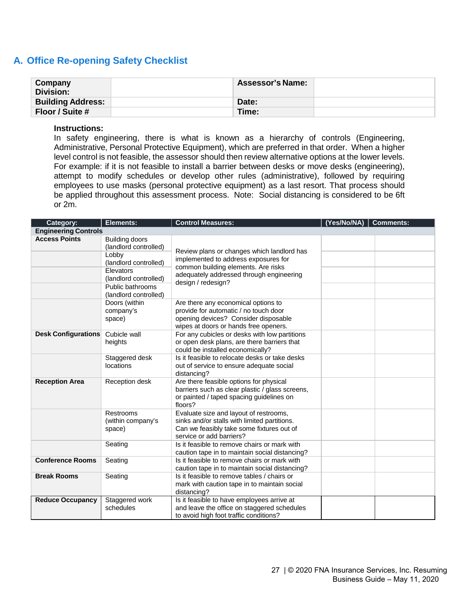# **A. Office Re-opening Safety Checklist**

| Company<br><b>Division:</b> | <b>Assessor's Name:</b> |  |
|-----------------------------|-------------------------|--|
| <b>Building Address:</b>    | Date:                   |  |
| Floor / Suite #             | Time:                   |  |

#### **Instructions:**

In safety engineering, there is what is known as a hierarchy of controls (Engineering, Administrative, Personal Protective Equipment), which are preferred in that order. When a higher level control is not feasible, the assessor should then review alternative options at the lower levels. For example: if it is not feasible to install a barrier between desks or move desks (engineering), attempt to modify schedules or develop other rules (administrative), followed by requiring employees to use masks (personal protective equipment) as a last resort. That process should be applied throughout this assessment process. Note: Social distancing is considered to be 6ft or 2m.

| Category:                   | Elements:                                                                                                                                                    | <b>Control Measures:</b>                                                                                                                                                                    | (Yes/No/NA)<br>  Comments: |
|-----------------------------|--------------------------------------------------------------------------------------------------------------------------------------------------------------|---------------------------------------------------------------------------------------------------------------------------------------------------------------------------------------------|----------------------------|
| <b>Engineering Controls</b> |                                                                                                                                                              |                                                                                                                                                                                             |                            |
| <b>Access Points</b>        | Building doors<br>(landlord controlled)<br>Lobby<br>(landlord controlled)<br>Elevators<br>(landlord controlled)<br>Public bathrooms<br>(landlord controlled) | Review plans or changes which landlord has<br>implemented to address exposures for<br>common building elements. Are risks<br>adequately addressed through engineering<br>design / redesign? |                            |
|                             | Doors (within<br>company's<br>space)                                                                                                                         | Are there any economical options to<br>provide for automatic / no touch door<br>opening devices? Consider disposable<br>wipes at doors or hands free openers.                               |                            |
| <b>Desk Configurations</b>  | Cubicle wall<br>heights                                                                                                                                      | For any cubicles or desks with low partitions<br>or open desk plans, are there barriers that<br>could be installed economically?                                                            |                            |
|                             | Staggered desk<br>locations                                                                                                                                  | Is it feasible to relocate desks or take desks<br>out of service to ensure adequate social<br>distancing?                                                                                   |                            |
| <b>Reception Area</b>       | Reception desk                                                                                                                                               | Are there feasible options for physical<br>barriers such as clear plastic / glass screens,<br>or painted / taped spacing guidelines on<br>floors?                                           |                            |
|                             | Restrooms<br>(within company's<br>space)                                                                                                                     | Evaluate size and layout of restrooms,<br>sinks and/or stalls with limited partitions.<br>Can we feasibly take some fixtures out of<br>service or add barriers?                             |                            |
|                             | Seating                                                                                                                                                      | Is it feasible to remove chairs or mark with<br>caution tape in to maintain social distancing?                                                                                              |                            |
| <b>Conference Rooms</b>     | Seating                                                                                                                                                      | Is it feasible to remove chairs or mark with<br>caution tape in to maintain social distancing?                                                                                              |                            |
| <b>Break Rooms</b>          | Seating                                                                                                                                                      | Is it feasible to remove tables / chairs or<br>mark with caution tape in to maintain social<br>distancing?                                                                                  |                            |
| <b>Reduce Occupancy</b>     | Staggered work<br>schedules                                                                                                                                  | Is it feasible to have employees arrive at<br>and leave the office on staggered schedules<br>to avoid high foot traffic conditions?                                                         |                            |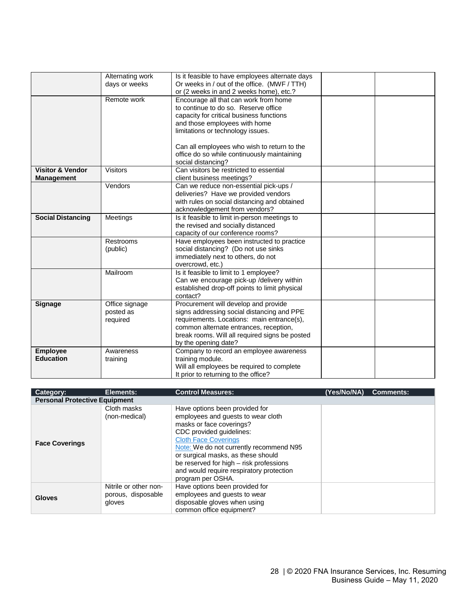|                             | Alternating work | Is it feasible to have employees alternate days |  |
|-----------------------------|------------------|-------------------------------------------------|--|
|                             | days or weeks    | Or weeks in / out of the office. (MWF / TTH)    |  |
|                             |                  | or (2 weeks in and 2 weeks home), etc.?         |  |
|                             | Remote work      | Encourage all that can work from home           |  |
|                             |                  | to continue to do so. Reserve office            |  |
|                             |                  | capacity for critical business functions        |  |
|                             |                  | and those employees with home                   |  |
|                             |                  | limitations or technology issues.               |  |
|                             |                  |                                                 |  |
|                             |                  | Can all employees who wish to return to the     |  |
|                             |                  | office do so while continuously maintaining     |  |
|                             |                  | social distancing?                              |  |
| <b>Visitor &amp; Vendor</b> | <b>Visitors</b>  | Can visitors be restricted to essential         |  |
| <b>Management</b>           |                  | client business meetings?                       |  |
|                             | Vendors          | Can we reduce non-essential pick-ups /          |  |
|                             |                  | deliveries? Have we provided vendors            |  |
|                             |                  | with rules on social distancing and obtained    |  |
|                             |                  | acknowledgement from vendors?                   |  |
| <b>Social Distancing</b>    | Meetings         | Is it feasible to limit in-person meetings to   |  |
|                             |                  | the revised and socially distanced              |  |
|                             |                  | capacity of our conference rooms?               |  |
|                             | Restrooms        | Have employees been instructed to practice      |  |
|                             | (public)         | social distancing? (Do not use sinks            |  |
|                             |                  | immediately next to others, do not              |  |
|                             |                  | overcrowd, etc.)                                |  |
|                             | Mailroom         | Is it feasible to limit to 1 employee?          |  |
|                             |                  | Can we encourage pick-up /delivery within       |  |
|                             |                  | established drop-off points to limit physical   |  |
|                             |                  | contact?                                        |  |
| <b>Signage</b>              | Office signage   | Procurement will develop and provide            |  |
|                             | posted as        | signs addressing social distancing and PPE      |  |
|                             | required         | requirements. Locations: main entrance(s),      |  |
|                             |                  | common alternate entrances, reception,          |  |
|                             |                  | break rooms. Will all required signs be posted  |  |
|                             |                  | by the opening date?                            |  |
| <b>Employee</b>             | Awareness        | Company to record an employee awareness         |  |
| <b>Education</b>            | training         | training module.                                |  |
|                             |                  | Will all employees be required to complete      |  |
|                             |                  | It prior to returning to the office?            |  |

| <b>Category:</b>                     | Elements:                                             | <b>Control Measures:</b>                                                                                                                                                                                                                                                                                                                                 | (Yes/No/NA) | <b>Comments:</b> |
|--------------------------------------|-------------------------------------------------------|----------------------------------------------------------------------------------------------------------------------------------------------------------------------------------------------------------------------------------------------------------------------------------------------------------------------------------------------------------|-------------|------------------|
| <b>Personal Protective Equipment</b> |                                                       |                                                                                                                                                                                                                                                                                                                                                          |             |                  |
| <b>Face Coverings</b>                | Cloth masks<br>(non-medical)                          | Have options been provided for<br>employees and quests to wear cloth<br>masks or face coverings?<br>CDC provided guidelines:<br><b>Cloth Face Coverings</b><br>Note: We do not currently recommend N95<br>or surgical masks, as these should<br>be reserved for high – risk professions<br>and would require respiratory protection<br>program per OSHA. |             |                  |
| <b>Gloves</b>                        | Nitrile or other non-<br>porous, disposable<br>gloves | Have options been provided for<br>employees and guests to wear<br>disposable gloves when using<br>common office equipment?                                                                                                                                                                                                                               |             |                  |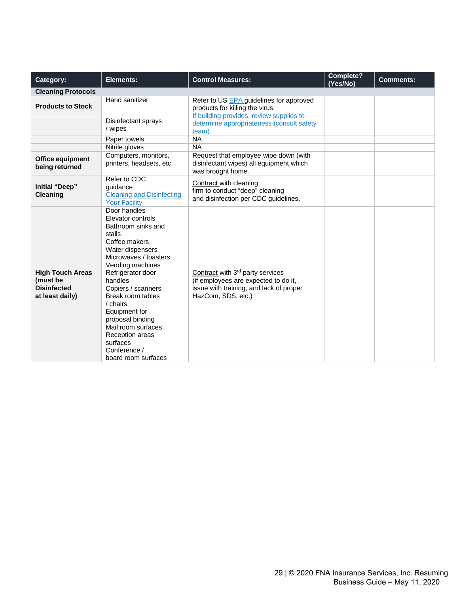| Category:                                                                    | Elements:                                                                                                                                                                                                                                                                                                                                                                   | <b>Control Measures:</b>                                                                                                                              | Complete?<br>(Yes/No) | <b>Comments:</b> |
|------------------------------------------------------------------------------|-----------------------------------------------------------------------------------------------------------------------------------------------------------------------------------------------------------------------------------------------------------------------------------------------------------------------------------------------------------------------------|-------------------------------------------------------------------------------------------------------------------------------------------------------|-----------------------|------------------|
| <b>Cleaning Protocols</b>                                                    |                                                                                                                                                                                                                                                                                                                                                                             |                                                                                                                                                       |                       |                  |
| <b>Products to Stock</b>                                                     | Hand sanitizer                                                                                                                                                                                                                                                                                                                                                              | Refer to US EPA guidelines for approved<br>products for killing the virus<br>If building provides, review supplies to                                 |                       |                  |
|                                                                              | Disinfectant sprays<br>/ wipes                                                                                                                                                                                                                                                                                                                                              | determine appropriateness (consult safety<br>team).                                                                                                   |                       |                  |
|                                                                              | Paper towels                                                                                                                                                                                                                                                                                                                                                                | <b>NA</b>                                                                                                                                             |                       |                  |
|                                                                              | Nitrile gloves                                                                                                                                                                                                                                                                                                                                                              | <b>NA</b>                                                                                                                                             |                       |                  |
| Office equipment<br>being returned                                           | Computers, monitors,<br>printers, headsets, etc.                                                                                                                                                                                                                                                                                                                            | Request that employee wipe down (with<br>disinfectant wipes) all equipment which<br>was brought home.                                                 |                       |                  |
| Initial "Deep"<br><b>Cleaning</b>                                            | Refer to CDC<br>quidance<br><b>Cleaning and Disinfecting</b><br><b>Your Facility</b>                                                                                                                                                                                                                                                                                        | Contract with cleaning<br>firm to conduct "deep" cleaning<br>and disinfection per CDC guidelines.                                                     |                       |                  |
| <b>High Touch Areas</b><br>(must be<br><b>Disinfected</b><br>at least daily) | Door handles<br>Elevator controls<br>Bathroom sinks and<br>stalls<br>Coffee makers<br>Water dispensers<br>Microwaves / toasters<br>Vending machines<br>Refrigerator door<br>handles<br>Copiers / scanners<br>Break room tables<br>/ chairs<br>Equipment for<br>proposal binding<br>Mail room surfaces<br>Reception areas<br>surfaces<br>Conference /<br>board room surfaces | Contract with 3 <sup>rd</sup> party services<br>(if employees are expected to do it,<br>issue with training, and lack of proper<br>HazCom, SDS, etc.) |                       |                  |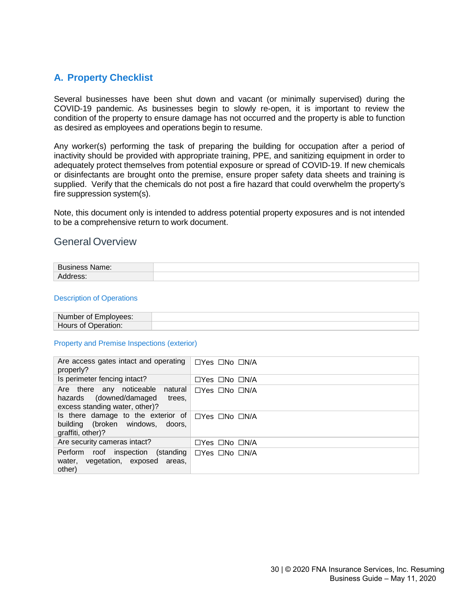# **A. Property Checklist**

Several businesses have been shut down and vacant (or minimally supervised) during the COVID-19 pandemic. As businesses begin to slowly re-open, it is important to review the condition of the property to ensure damage has not occurred and the property is able to function as desired as employees and operations begin to resume.

Any worker(s) performing the task of preparing the building for occupation after a period of inactivity should be provided with appropriate training, PPE, and sanitizing equipment in order to adequately protect themselves from potential exposure or spread of COVID-19. If new chemicals or disinfectants are brought onto the premise, ensure proper safety data sheets and training is supplied. Verify that the chemicals do not post a fire hazard that could overwhelm the property's fire suppression system(s).

Note, this document only is intended to address potential property exposures and is not intended to be a comprehensive return to work document.

## General Overview

| ב. ח<br>vame.<br>. .<br>$-$ |  |
|-----------------------------|--|
| ___                         |  |

#### Description of Operations

| <b>Number</b><br>* of Emplovees: |  |
|----------------------------------|--|
| Hours of (<br>Deration:          |  |

#### Property and Premise Inspections (exterior)

| Are access gates intact and operating<br>properly?                                                         | $\Box$ Yes $\Box$ No $\Box$ N/A |
|------------------------------------------------------------------------------------------------------------|---------------------------------|
| Is perimeter fencing intact?                                                                               | $\Box$ Yes $\Box$ No $\Box$ N/A |
| Are there any noticeable natural<br>(downed/damaged<br>hazards<br>trees.<br>excess standing water, other)? | $\Box$ Yes $\Box$ No $\Box$ N/A |
| Is there damage to the exterior of<br>building (broken windows, doors,<br>graffiti, other)?                | □Yes □No □N/A                   |
| Are security cameras intact?                                                                               | $\Box$ Yes $\Box$ No $\Box$ N/A |
| Perform<br>roof inspection (standing<br>water, vegetation, exposed<br>areas,<br>other)                     | $\Box$ Yes $\Box$ No $\Box$ N/A |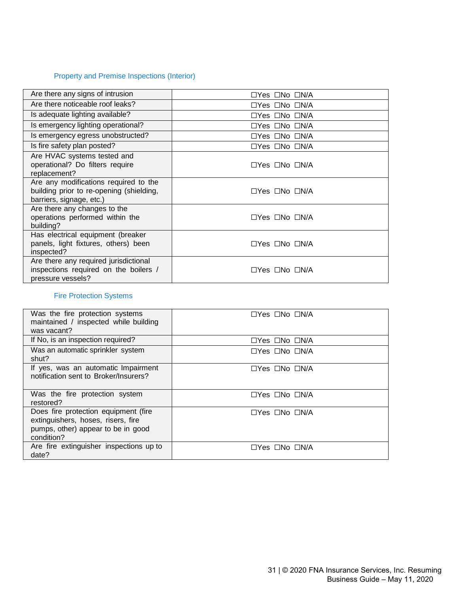# Property and Premise Inspections (Interior)

| Are there any signs of intrusion                                                                              | $\Box$ Yes $\Box$ No $\Box$ N/A |
|---------------------------------------------------------------------------------------------------------------|---------------------------------|
| Are there noticeable roof leaks?                                                                              | $\Box$ Yes $\Box$ No $\Box$ N/A |
| Is adequate lighting available?                                                                               | $\Box$ Yes $\Box$ No $\Box$ N/A |
| Is emergency lighting operational?                                                                            | $\Box$ Yes $\Box$ No $\Box$ N/A |
| Is emergency egress unobstructed?                                                                             | $\Box$ Yes $\Box$ No $\Box$ N/A |
| Is fire safety plan posted?                                                                                   | $\Box$ Yes $\Box$ No $\Box$ N/A |
| Are HVAC systems tested and<br>operational? Do filters require<br>replacement?                                | $\Box$ Yes $\Box$ No $\Box$ N/A |
| Are any modifications required to the<br>building prior to re-opening (shielding,<br>barriers, signage, etc.) | $\Box$ Yes $\Box$ No $\Box$ N/A |
| Are there any changes to the<br>operations performed within the<br>building?                                  | $\Box$ Yes $\Box$ No $\Box$ N/A |
| Has electrical equipment (breaker<br>panels, light fixtures, others) been<br>inspected?                       | $\Box$ Yes $\Box$ No $\Box$ N/A |
| Are there any required jurisdictional<br>inspections required on the boilers /<br>pressure vessels?           | $\Box$ Yes $\Box$ No $\Box$ N/A |

## Fire Protection Systems

| Was the fire protection systems<br>maintained / inspected while building<br>was vacant?                                        | $\Box$ Yes $\Box$ No $\Box$ N/A |
|--------------------------------------------------------------------------------------------------------------------------------|---------------------------------|
| If No, is an inspection required?                                                                                              | $\Box$ Yes $\Box$ No $\Box$ N/A |
| Was an automatic sprinkler system<br>shut?                                                                                     | $\Box$ Yes $\Box$ No $\Box$ N/A |
| If yes, was an automatic Impairment<br>notification sent to Broker/Insurers?                                                   | $\Box$ Yes $\Box$ No $\Box$ N/A |
| Was the fire protection system<br>restored?                                                                                    | $\Box$ Yes $\Box$ No $\Box$ N/A |
| Does fire protection equipment (fire<br>extinguishers, hoses, risers, fire<br>pumps, other) appear to be in good<br>condition? | $\Box$ Yes $\Box$ No $\Box$ N/A |
| Are fire extinguisher inspections up to<br>date?                                                                               | $\Box$ Yes $\Box$ No $\Box$ N/A |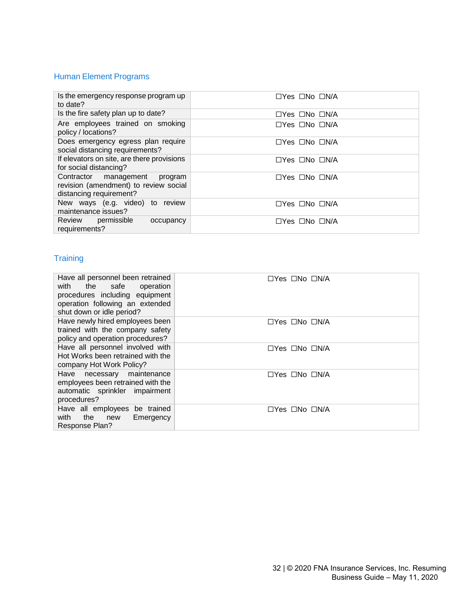# Human Element Programs

| Is the emergency response program up<br>to date?                                                  | $\Box$ Yes $\Box$ No $\Box$ N/A |
|---------------------------------------------------------------------------------------------------|---------------------------------|
| Is the fire safety plan up to date?                                                               | $\Box$ Yes $\Box$ No $\Box$ N/A |
| Are employees trained on smoking<br>policy / locations?                                           | $\Box$ Yes $\Box$ No $\Box$ N/A |
| Does emergency egress plan require<br>social distancing requirements?                             | $\Box$ Yes $\Box$ No $\Box$ N/A |
| If elevators on site, are there provisions<br>for social distancing?                              | $\Box$ Yes $\Box$ No $\Box$ N/A |
| Contractor management program<br>revision (amendment) to review social<br>distancing requirement? | $\Box$ Yes $\Box$ No $\Box$ N/A |
| New ways (e.g. video) to review<br>maintenance issues?                                            | $\Box$ Yes $\Box$ No $\Box$ N/A |
| Review permissible<br>occupancy<br>requirements?                                                  | $\Box$ Yes $\Box$ No $\Box$ N/A |

# **Training**

| Have all personnel been retrained<br>with the safe<br>operation<br>procedures including equipment<br>operation following an extended<br>shut down or idle period? | $\Box$ Yes $\Box$ No $\Box$ N/A |
|-------------------------------------------------------------------------------------------------------------------------------------------------------------------|---------------------------------|
| Have newly hired employees been<br>trained with the company safety<br>policy and operation procedures?                                                            | $\Box$ Yes $\Box$ No $\Box$ N/A |
| Have all personnel involved with<br>Hot Works been retrained with the<br>company Hot Work Policy?                                                                 | □Yes □No □N/A                   |
| Have necessary maintenance<br>employees been retrained with the<br>automatic sprinkler impairment<br>procedures?                                                  | $\Box$ Yes $\Box$ No $\Box$ N/A |
| Have all employees be trained<br>with the<br>new<br>Emergency<br>Response Plan?                                                                                   | $\Box$ Yes $\Box$ No $\Box$ N/A |